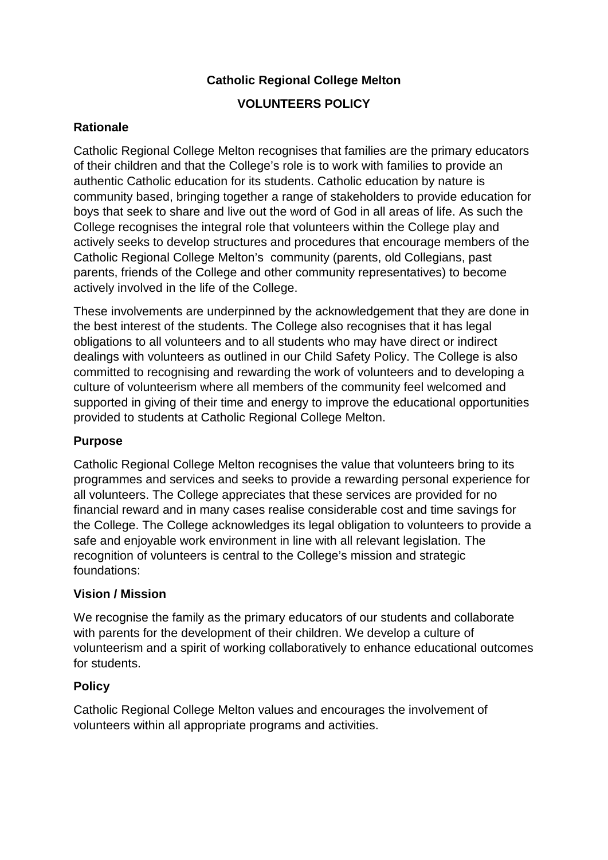# **Catholic Regional College Melton VOLUNTEERS POLICY**

# **Rationale**

Catholic Regional College Melton recognises that families are the primary educators of their children and that the College's role is to work with families to provide an authentic Catholic education for its students. Catholic education by nature is community based, bringing together a range of stakeholders to provide education for boys that seek to share and live out the word of God in all areas of life. As such the College recognises the integral role that volunteers within the College play and actively seeks to develop structures and procedures that encourage members of the Catholic Regional College Melton's community (parents, old Collegians, past parents, friends of the College and other community representatives) to become actively involved in the life of the College.

These involvements are underpinned by the acknowledgement that they are done in the best interest of the students. The College also recognises that it has legal obligations to all volunteers and to all students who may have direct or indirect dealings with volunteers as outlined in our Child Safety Policy. The College is also committed to recognising and rewarding the work of volunteers and to developing a culture of volunteerism where all members of the community feel welcomed and supported in giving of their time and energy to improve the educational opportunities provided to students at Catholic Regional College Melton.

### **Purpose**

Catholic Regional College Melton recognises the value that volunteers bring to its programmes and services and seeks to provide a rewarding personal experience for all volunteers. The College appreciates that these services are provided for no financial reward and in many cases realise considerable cost and time savings for the College. The College acknowledges its legal obligation to volunteers to provide a safe and enjoyable work environment in line with all relevant legislation. The recognition of volunteers is central to the College's mission and strategic foundations:

### **Vision / Mission**

We recognise the family as the primary educators of our students and collaborate with parents for the development of their children. We develop a culture of volunteerism and a spirit of working collaboratively to enhance educational outcomes for students.

### **Policy**

Catholic Regional College Melton values and encourages the involvement of volunteers within all appropriate programs and activities.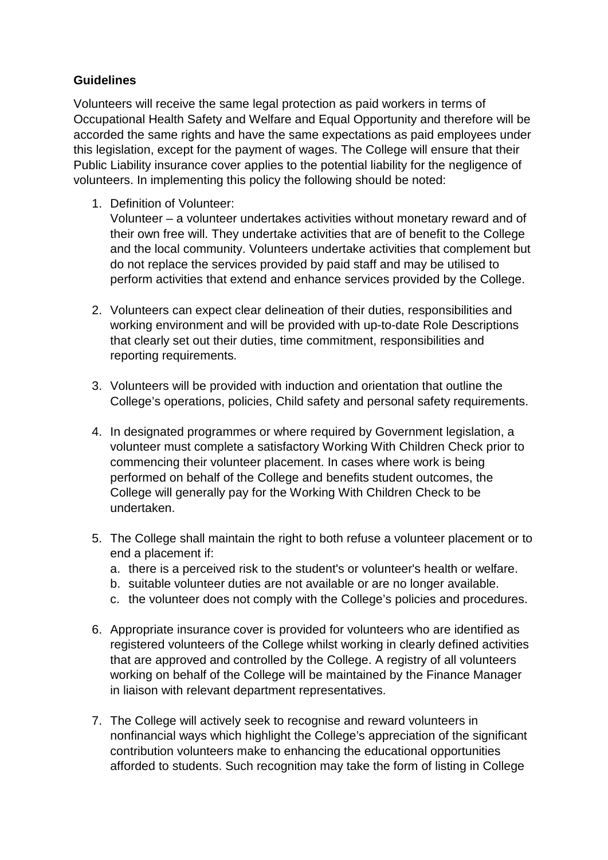# **Guidelines**

Volunteers will receive the same legal protection as paid workers in terms of Occupational Health Safety and Welfare and Equal Opportunity and therefore will be accorded the same rights and have the same expectations as paid employees under this legislation, except for the payment of wages. The College will ensure that their Public Liability insurance cover applies to the potential liability for the negligence of volunteers. In implementing this policy the following should be noted:

1. Definition of Volunteer:

Volunteer – a volunteer undertakes activities without monetary reward and of their own free will. They undertake activities that are of benefit to the College and the local community. Volunteers undertake activities that complement but do not replace the services provided by paid staff and may be utilised to perform activities that extend and enhance services provided by the College.

- 2. Volunteers can expect clear delineation of their duties, responsibilities and working environment and will be provided with up-to-date Role Descriptions that clearly set out their duties, time commitment, responsibilities and reporting requirements.
- 3. Volunteers will be provided with induction and orientation that outline the College's operations, policies, Child safety and personal safety requirements.
- 4. In designated programmes or where required by Government legislation, a volunteer must complete a satisfactory Working With Children Check prior to commencing their volunteer placement. In cases where work is being performed on behalf of the College and benefits student outcomes, the College will generally pay for the Working With Children Check to be undertaken.
- 5. The College shall maintain the right to both refuse a volunteer placement or to end a placement if:
	- a. there is a perceived risk to the student's or volunteer's health or welfare.
	- b. suitable volunteer duties are not available or are no longer available.
	- c. the volunteer does not comply with the College's policies and procedures.
- 6. Appropriate insurance cover is provided for volunteers who are identified as registered volunteers of the College whilst working in clearly defined activities that are approved and controlled by the College. A registry of all volunteers working on behalf of the College will be maintained by the Finance Manager in liaison with relevant department representatives.
- 7. The College will actively seek to recognise and reward volunteers in nonfinancial ways which highlight the College's appreciation of the significant contribution volunteers make to enhancing the educational opportunities afforded to students. Such recognition may take the form of listing in College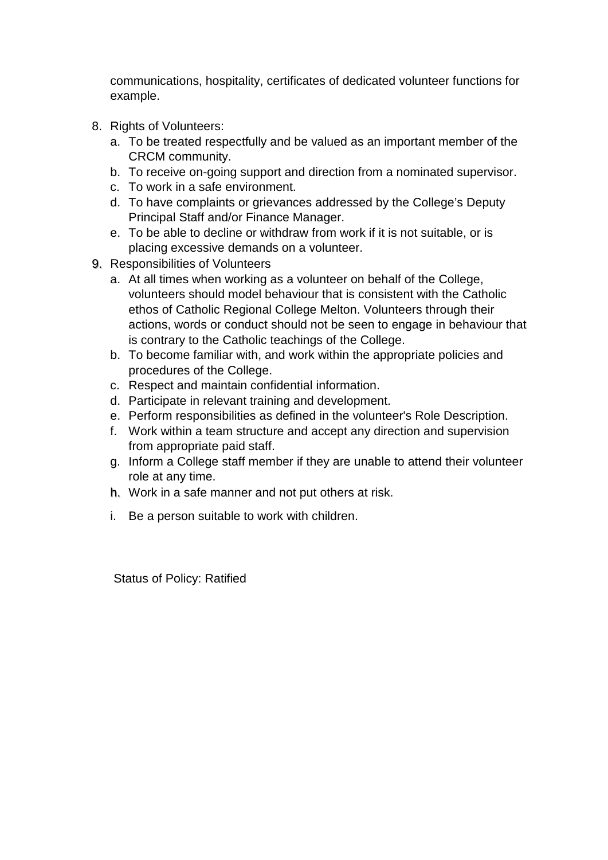communications, hospitality, certificates of dedicated volunteer functions for example.

- 8. Rights of Volunteers:
	- a. To be treated respectfully and be valued as an important member of the CRCM community.
	- b. To receive on-going support and direction from a nominated supervisor.
	- c. To work in a safe environment.
	- d. To have complaints or grievances addressed by the College's Deputy Principal Staff and/or Finance Manager.
	- e. To be able to decline or withdraw from work if it is not suitable, or is placing excessive demands on a volunteer.
- 9. Responsibilities of Volunteers
	- a. At all times when working as a volunteer on behalf of the College, volunteers should model behaviour that is consistent with the Catholic ethos of Catholic Regional College Melton. Volunteers through their actions, words or conduct should not be seen to engage in behaviour that is contrary to the Catholic teachings of the College.
	- b. To become familiar with, and work within the appropriate policies and procedures of the College.
	- c. Respect and maintain confidential information.
	- d. Participate in relevant training and development.
	- e. Perform responsibilities as defined in the volunteer's Role Description.
	- f. Work within a team structure and accept any direction and supervision from appropriate paid staff.
	- g. Inform a College staff member if they are unable to attend their volunteer role at any time.
	- h. Work in a safe manner and not put others at risk.
	- i. Be a person suitable to work with children.

Status of Policy: Ratified